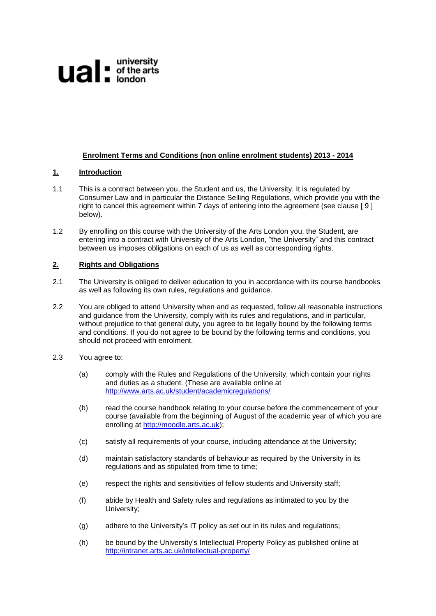

### **Enrolment Terms and Conditions (non online enrolment students) 2013 - 2014**

### **1. Introduction**

- 1.1 This is a contract between you, the Student and us, the University. It is regulated by Consumer Law and in particular the Distance Selling Regulations, which provide you with the right to cancel this agreement within 7 days of entering into the agreement (see clause [ 9 ] below).
- 1.2 By enrolling on this course with the University of the Arts London you, the Student, are entering into a contract with University of the Arts London, "the University" and this contract between us imposes obligations on each of us as well as corresponding rights.

#### **2. Rights and Obligations**

- 2.1 The University is obliged to deliver education to you in accordance with its course handbooks as well as following its own rules, regulations and guidance.
- 2.2 You are obliged to attend University when and as requested, follow all reasonable instructions and guidance from the University, comply with its rules and regulations, and in particular, without prejudice to that general duty, you agree to be legally bound by the following terms and conditions. If you do not agree to be bound by the following terms and conditions, you should not proceed with enrolment.
- 2.3 You agree to:
	- (a) comply with the Rules and Regulations of the University, which contain your rights and duties as a student. (These are available online at <http://www.arts.ac.uk/student/academicregulations/>
	- (b) read the course handbook relating to your course before the commencement of your course (available from the beginning of August of the academic year of which you are enrolling at [http://moodle.arts.ac.uk\)](http://moodle.arts.ac.uk/);
	- (c) satisfy all requirements of your course, including attendance at the University;
	- (d) maintain satisfactory standards of behaviour as required by the University in its regulations and as stipulated from time to time;
	- (e) respect the rights and sensitivities of fellow students and University staff;
	- (f) abide by Health and Safety rules and regulations as intimated to you by the University;
	- (g) adhere to the University's IT policy as set out in its rules and regulations;
	- (h) be bound by the University's Intellectual Property Policy as published online at <http://intranet.arts.ac.uk/intellectual-property/>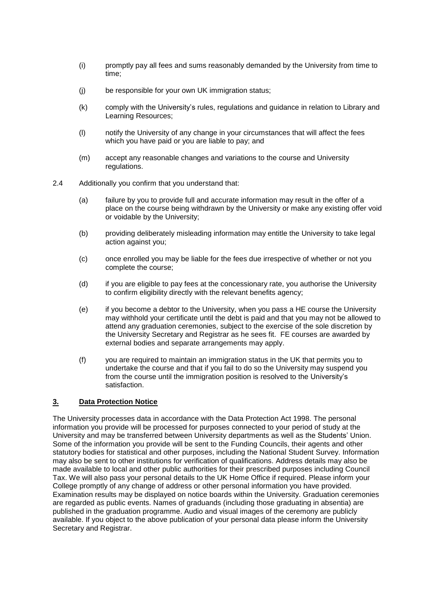- (i) promptly pay all fees and sums reasonably demanded by the University from time to time;
- (j) be responsible for your own UK immigration status;
- (k) comply with the University's rules, regulations and guidance in relation to Library and Learning Resources;
- (l) notify the University of any change in your circumstances that will affect the fees which you have paid or you are liable to pay; and
- (m) accept any reasonable changes and variations to the course and University regulations.
- 2.4 Additionally you confirm that you understand that:
	- (a) failure by you to provide full and accurate information may result in the offer of a place on the course being withdrawn by the University or make any existing offer void or voidable by the University;
	- (b) providing deliberately misleading information may entitle the University to take legal action against you;
	- (c) once enrolled you may be liable for the fees due irrespective of whether or not you complete the course;
	- (d) if you are eligible to pay fees at the concessionary rate, you authorise the University to confirm eligibility directly with the relevant benefits agency;
	- (e) if you become a debtor to the University, when you pass a HE course the University may withhold your certificate until the debt is paid and that you may not be allowed to attend any graduation ceremonies, subject to the exercise of the sole discretion by the University Secretary and Registrar as he sees fit. FE courses are awarded by external bodies and separate arrangements may apply.
	- (f) you are required to maintain an immigration status in the UK that permits you to undertake the course and that if you fail to do so the University may suspend you from the course until the immigration position is resolved to the University's satisfaction.

### **3. Data Protection Notice**

The University processes data in accordance with the Data Protection Act 1998. The personal information you provide will be processed for purposes connected to your period of study at the University and may be transferred between University departments as well as the Students' Union. Some of the information you provide will be sent to the Funding Councils, their agents and other statutory bodies for statistical and other purposes, including the National Student Survey. Information may also be sent to other institutions for verification of qualifications. Address details may also be made available to local and other public authorities for their prescribed purposes including Council Tax. We will also pass your personal details to the UK Home Office if required. Please inform your College promptly of any change of address or other personal information you have provided. Examination results may be displayed on notice boards within the University. Graduation ceremonies are regarded as public events. Names of graduands (including those graduating in absentia) are published in the graduation programme. Audio and visual images of the ceremony are publicly available. If you object to the above publication of your personal data please inform the University Secretary and Registrar.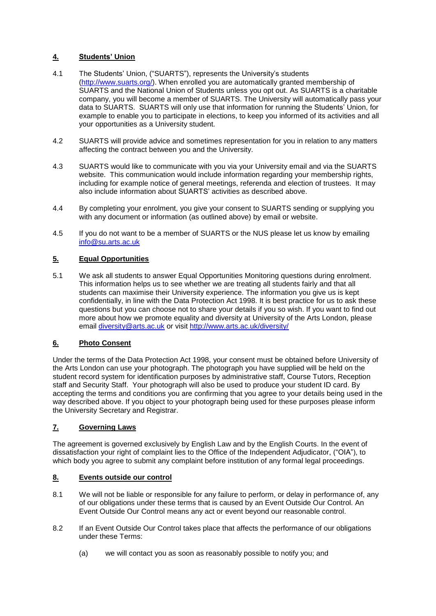# **4. Students' Union**

- 4.1 The Students' Union, ("SUARTS"), represents the University's students [\(http://www.suarts.org/\)](http://www.suarts.org/). When enrolled you are automatically granted membership of SUARTS and the National Union of Students unless you opt out. As SUARTS is a charitable company, you will become a member of SUARTS. The University will automatically pass your data to SUARTS. SUARTS will only use that information for running the Students' Union, for example to enable you to participate in elections, to keep you informed of its activities and all your opportunities as a University student.
- 4.2 SUARTS will provide advice and sometimes representation for you in relation to any matters affecting the contract between you and the University.
- 4.3 SUARTS would like to communicate with you via your University email and via the SUARTS website. This communication would include information regarding your membership rights, including for example notice of general meetings, referenda and election of trustees. It may also include information about SUARTS' activities as described above.
- 4.4 By completing your enrolment, you give your consent to SUARTS sending or supplying you with any document or information (as outlined above) by email or website.
- 4.5 If you do not want to be a member of SUARTS or the NUS please let us know by emailing [info@su.arts.ac.uk](mailto:info@su.arts.ac.uk)

# **5. Equal Opportunities**

5.1 We ask all students to answer Equal Opportunities Monitoring questions during enrolment. This information helps us to see whether we are treating all students fairly and that all students can maximise their University experience. The information you give us is kept confidentially, in line with the Data Protection Act 1998. It is best practice for us to ask these questions but you can choose not to share your details if you so wish. If you want to find out more about how we promote equality and diversity at University of the Arts London, please email [diversity@arts.ac.uk](mailto:diversity@arts.ac.uk) or visit <http://www.arts.ac.uk/diversity/>

### **6. Photo Consent**

Under the terms of the Data Protection Act 1998, your consent must be obtained before University of the Arts London can use your photograph. The photograph you have supplied will be held on the student record system for identification purposes by administrative staff, Course Tutors, Reception staff and Security Staff. Your photograph will also be used to produce your student ID card. By accepting the terms and conditions you are confirming that you agree to your details being used in the way described above. If you object to your photograph being used for these purposes please inform the University Secretary and Registrar.

### **7. Governing Laws**

The agreement is governed exclusively by English Law and by the English Courts. In the event of dissatisfaction your right of complaint lies to the Office of the Independent Adjudicator, ("OIA"), to which body you agree to submit any complaint before institution of any formal legal proceedings.

### **8. Events outside our control**

- 8.1 We will not be liable or responsible for any failure to perform, or delay in performance of, any of our obligations under these terms that is caused by an Event Outside Our Control. An Event Outside Our Control means any act or event beyond our reasonable control.
- 8.2 If an Event Outside Our Control takes place that affects the performance of our obligations under these Terms:
	- (a) we will contact you as soon as reasonably possible to notify you; and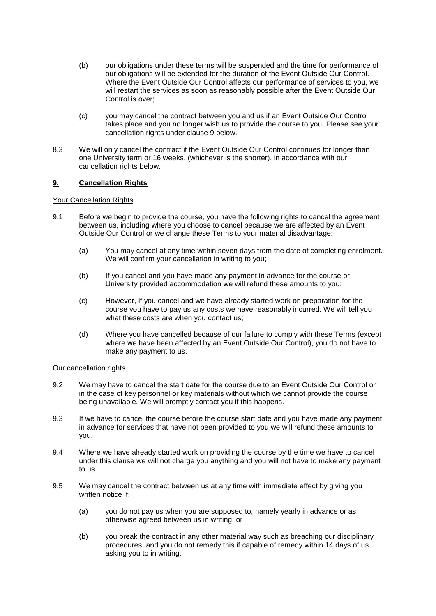- (b) our obligations under these terms will be suspended and the time for performance of our obligations will be extended for the duration of the Event Outside Our Control. Where the Event Outside Our Control affects our performance of services to you, we will restart the services as soon as reasonably possible after the Event Outside Our Control is over;
- (c) you may cancel the contract between you and us if an Event Outside Our Control takes place and you no longer wish us to provide the course to you. Please see your cancellation rights under clause 9 below.
- 8.3 We will only cancel the contract if the Event Outside Our Control continues for longer than one University term or 16 weeks, (whichever is the shorter), in accordance with our cancellation rights below.

### **9. Cancellation Rights**

#### Your Cancellation Rights

- 9.1 Before we begin to provide the course, you have the following rights to cancel the agreement between us, including where you choose to cancel because we are affected by an Event Outside Our Control or we change these Terms to your material disadvantage:
	- (a) You may cancel at any time within seven days from the date of completing enrolment. We will confirm your cancellation in writing to you;
	- (b) If you cancel and you have made any payment in advance for the course or University provided accommodation we will refund these amounts to you;
	- (c) However, if you cancel and we have already started work on preparation for the course you have to pay us any costs we have reasonably incurred. We will tell you what these costs are when you contact us;
	- (d) Where you have cancelled because of our failure to comply with these Terms (except where we have been affected by an Event Outside Our Control), you do not have to make any payment to us.

#### Our cancellation rights

- 9.2 We may have to cancel the start date for the course due to an Event Outside Our Control or in the case of key personnel or key materials without which we cannot provide the course being unavailable. We will promptly contact you if this happens.
- 9.3 If we have to cancel the course before the course start date and you have made any payment in advance for services that have not been provided to you we will refund these amounts to you.
- 9.4 Where we have already started work on providing the course by the time we have to cancel under this clause we will not charge you anything and you will not have to make any payment to us.
- 9.5 We may cancel the contract between us at any time with immediate effect by giving you written notice if:
	- (a) you do not pay us when you are supposed to, namely yearly in advance or as otherwise agreed between us in writing; or
	- (b) you break the contract in any other material way such as breaching our disciplinary procedures, and you do not remedy this if capable of remedy within 14 days of us asking you to in writing.